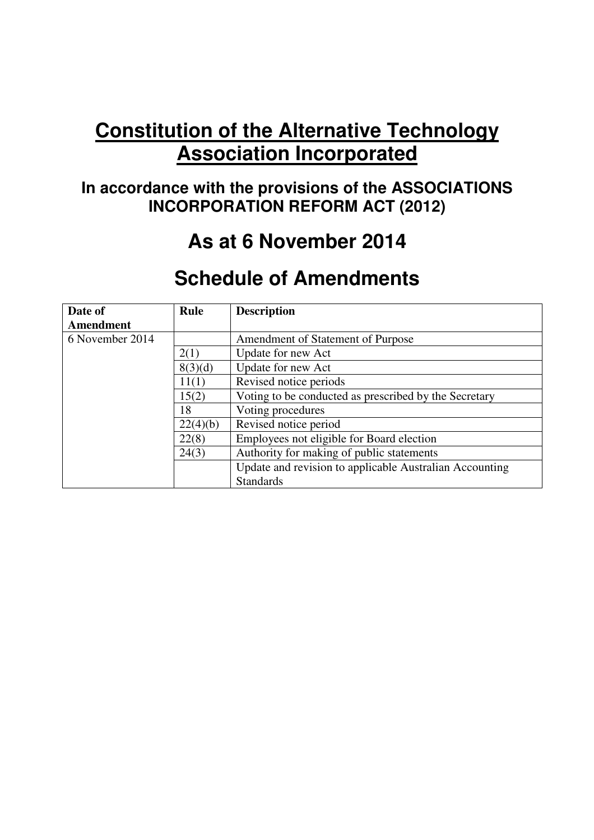# **Constitution of the Alternative Technology Association Incorporated**

## **In accordance with the provisions of the ASSOCIATIONS INCORPORATION REFORM ACT (2012)**

# **As at 6 November 2014**

## **Schedule of Amendments**

| Date of         | <b>Rule</b> | <b>Description</b>                                      |
|-----------------|-------------|---------------------------------------------------------|
| Amendment       |             |                                                         |
| 6 November 2014 |             | Amendment of Statement of Purpose                       |
|                 | 2(1)        | Update for new Act                                      |
|                 | 8(3)(d)     | Update for new Act                                      |
|                 | 11(1)       | Revised notice periods                                  |
|                 | 15(2)       | Voting to be conducted as prescribed by the Secretary   |
|                 | 18          | Voting procedures                                       |
|                 | 22(4)(b)    | Revised notice period                                   |
|                 | 22(8)       | Employees not eligible for Board election               |
|                 | 24(3)       | Authority for making of public statements               |
|                 |             | Update and revision to applicable Australian Accounting |
|                 |             | <b>Standards</b>                                        |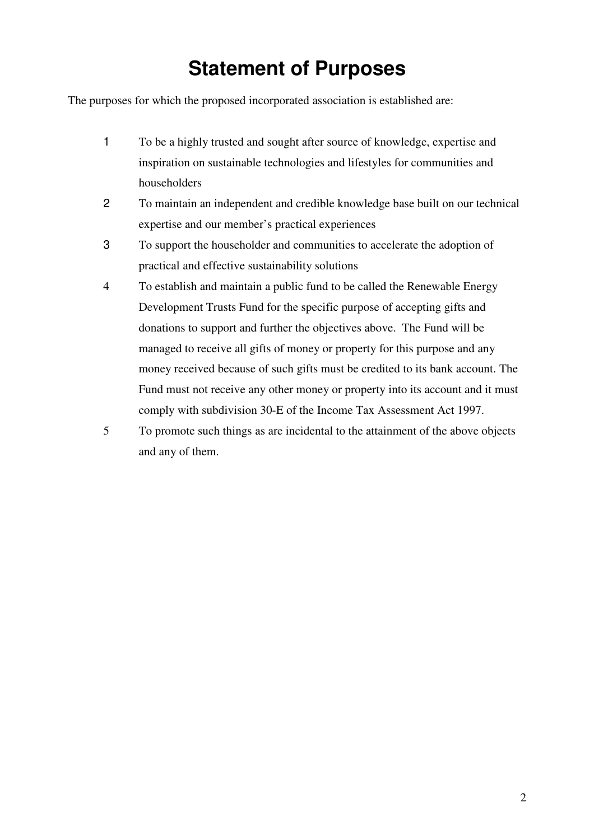# **Statement of Purposes**

The purposes for which the proposed incorporated association is established are:

- 1 To be a highly trusted and sought after source of knowledge, expertise and inspiration on sustainable technologies and lifestyles for communities and householders
- 2 To maintain an independent and credible knowledge base built on our technical expertise and our member's practical experiences
- 3 To support the householder and communities to accelerate the adoption of practical and effective sustainability solutions
- 4 To establish and maintain a public fund to be called the Renewable Energy Development Trusts Fund for the specific purpose of accepting gifts and donations to support and further the objectives above. The Fund will be managed to receive all gifts of money or property for this purpose and any money received because of such gifts must be credited to its bank account. The Fund must not receive any other money or property into its account and it must comply with subdivision 30-E of the Income Tax Assessment Act 1997.
- 5 To promote such things as are incidental to the attainment of the above objects and any of them.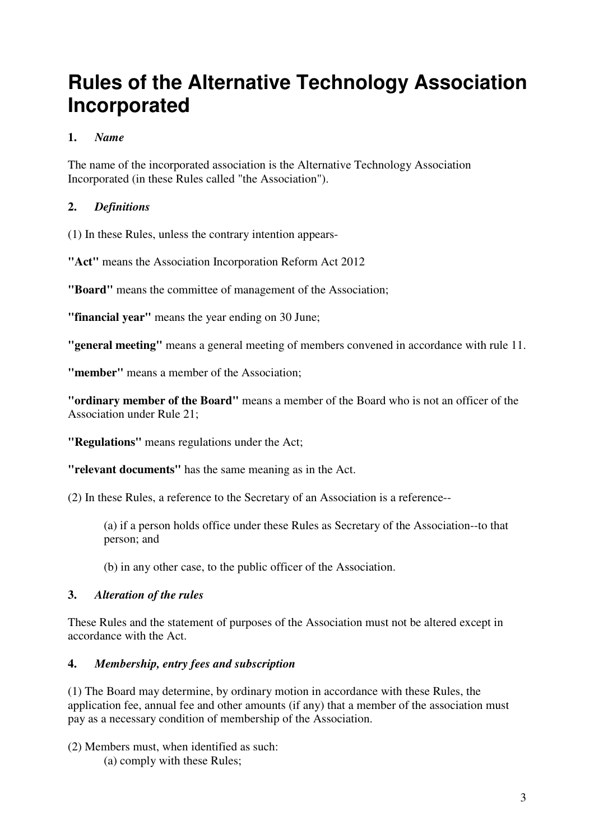## **Rules of the Alternative Technology Association Incorporated**

## **1.** *Name*

The name of the incorporated association is the Alternative Technology Association Incorporated (in these Rules called "the Association").

## **2.** *Definitions*

(1) In these Rules, unless the contrary intention appears-

**"Act"** means the Association Incorporation Reform Act 2012

**"Board"** means the committee of management of the Association;

**"financial year"** means the year ending on 30 June;

**"general meeting"** means a general meeting of members convened in accordance with rule 11.

**"member"** means a member of the Association;

**"ordinary member of the Board"** means a member of the Board who is not an officer of the Association under Rule 21;

**"Regulations"** means regulations under the Act;

**"relevant documents"** has the same meaning as in the Act.

(2) In these Rules, a reference to the Secretary of an Association is a reference--

(a) if a person holds office under these Rules as Secretary of the Association--to that person; and

(b) in any other case, to the public officer of the Association.

#### **3.** *Alteration of the rules*

These Rules and the statement of purposes of the Association must not be altered except in accordance with the Act.

#### **4.** *Membership, entry fees and subscription*

(1) The Board may determine, by ordinary motion in accordance with these Rules, the application fee, annual fee and other amounts (if any) that a member of the association must pay as a necessary condition of membership of the Association.

(2) Members must, when identified as such: (a) comply with these Rules;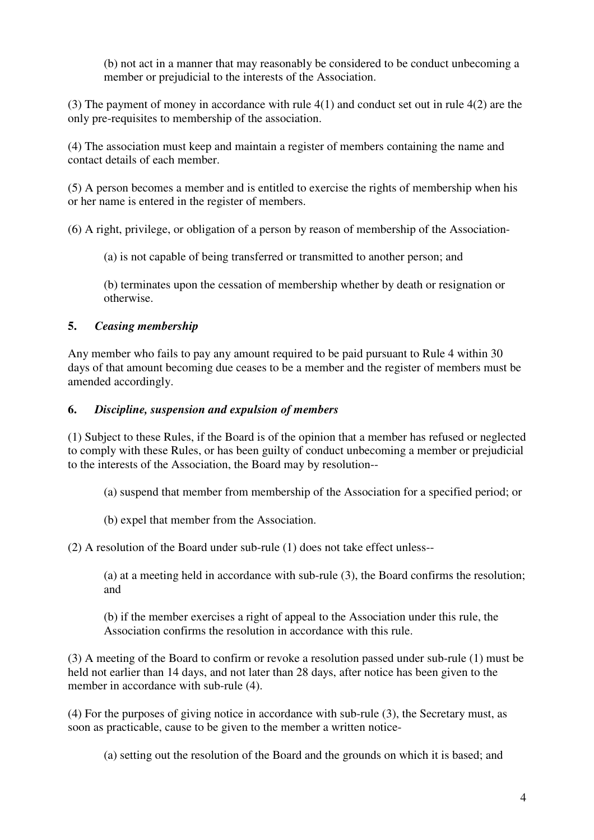(b) not act in a manner that may reasonably be considered to be conduct unbecoming a member or prejudicial to the interests of the Association.

(3) The payment of money in accordance with rule 4(1) and conduct set out in rule 4(2) are the only pre-requisites to membership of the association.

(4) The association must keep and maintain a register of members containing the name and contact details of each member.

(5) A person becomes a member and is entitled to exercise the rights of membership when his or her name is entered in the register of members.

(6) A right, privilege, or obligation of a person by reason of membership of the Association-

(a) is not capable of being transferred or transmitted to another person; and

(b) terminates upon the cessation of membership whether by death or resignation or otherwise.

### **5.** *Ceasing membership*

Any member who fails to pay any amount required to be paid pursuant to Rule 4 within 30 days of that amount becoming due ceases to be a member and the register of members must be amended accordingly.

### **6.** *Discipline, suspension and expulsion of members*

(1) Subject to these Rules, if the Board is of the opinion that a member has refused or neglected to comply with these Rules, or has been guilty of conduct unbecoming a member or prejudicial to the interests of the Association, the Board may by resolution--

- (a) suspend that member from membership of the Association for a specified period; or
- (b) expel that member from the Association.

(2) A resolution of the Board under sub-rule (1) does not take effect unless--

(a) at a meeting held in accordance with sub-rule (3), the Board confirms the resolution; and

(b) if the member exercises a right of appeal to the Association under this rule, the Association confirms the resolution in accordance with this rule.

(3) A meeting of the Board to confirm or revoke a resolution passed under sub-rule (1) must be held not earlier than 14 days, and not later than 28 days, after notice has been given to the member in accordance with sub-rule  $(4)$ .

(4) For the purposes of giving notice in accordance with sub-rule (3), the Secretary must, as soon as practicable, cause to be given to the member a written notice-

(a) setting out the resolution of the Board and the grounds on which it is based; and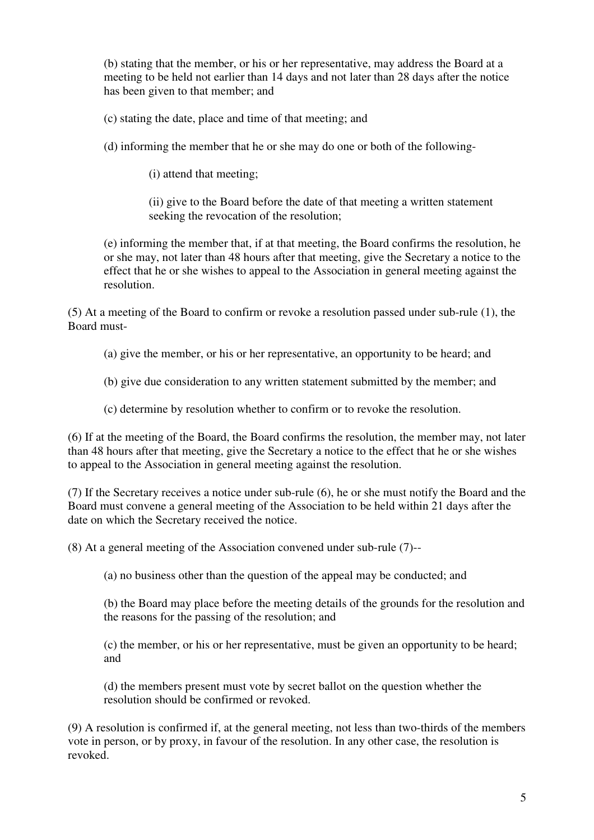(b) stating that the member, or his or her representative, may address the Board at a meeting to be held not earlier than 14 days and not later than 28 days after the notice has been given to that member; and

(c) stating the date, place and time of that meeting; and

(d) informing the member that he or she may do one or both of the following-

(i) attend that meeting;

(ii) give to the Board before the date of that meeting a written statement seeking the revocation of the resolution;

(e) informing the member that, if at that meeting, the Board confirms the resolution, he or she may, not later than 48 hours after that meeting, give the Secretary a notice to the effect that he or she wishes to appeal to the Association in general meeting against the resolution.

(5) At a meeting of the Board to confirm or revoke a resolution passed under sub-rule (1), the Board must-

(a) give the member, or his or her representative, an opportunity to be heard; and

(b) give due consideration to any written statement submitted by the member; and

(c) determine by resolution whether to confirm or to revoke the resolution.

(6) If at the meeting of the Board, the Board confirms the resolution, the member may, not later than 48 hours after that meeting, give the Secretary a notice to the effect that he or she wishes to appeal to the Association in general meeting against the resolution.

(7) If the Secretary receives a notice under sub-rule (6), he or she must notify the Board and the Board must convene a general meeting of the Association to be held within 21 days after the date on which the Secretary received the notice.

(8) At a general meeting of the Association convened under sub-rule (7)--

(a) no business other than the question of the appeal may be conducted; and

(b) the Board may place before the meeting details of the grounds for the resolution and the reasons for the passing of the resolution; and

(c) the member, or his or her representative, must be given an opportunity to be heard; and

(d) the members present must vote by secret ballot on the question whether the resolution should be confirmed or revoked.

(9) A resolution is confirmed if, at the general meeting, not less than two-thirds of the members vote in person, or by proxy, in favour of the resolution. In any other case, the resolution is revoked.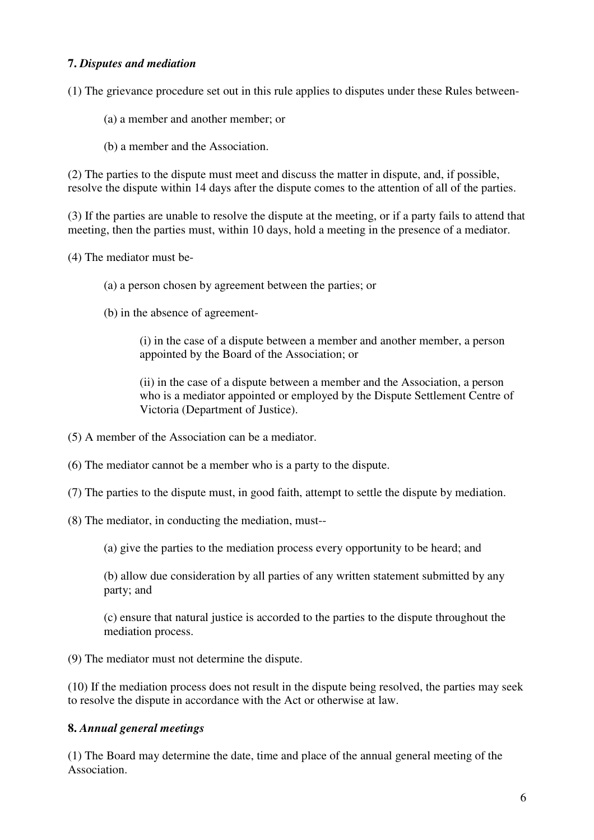#### **7.** *Disputes and mediation*

(1) The grievance procedure set out in this rule applies to disputes under these Rules between-

- (a) a member and another member; or
- (b) a member and the Association.

(2) The parties to the dispute must meet and discuss the matter in dispute, and, if possible, resolve the dispute within 14 days after the dispute comes to the attention of all of the parties.

(3) If the parties are unable to resolve the dispute at the meeting, or if a party fails to attend that meeting, then the parties must, within 10 days, hold a meeting in the presence of a mediator.

(4) The mediator must be-

- (a) a person chosen by agreement between the parties; or
- (b) in the absence of agreement-

(i) in the case of a dispute between a member and another member, a person appointed by the Board of the Association; or

(ii) in the case of a dispute between a member and the Association, a person who is a mediator appointed or employed by the Dispute Settlement Centre of Victoria (Department of Justice).

- (5) A member of the Association can be a mediator.
- (6) The mediator cannot be a member who is a party to the dispute.
- (7) The parties to the dispute must, in good faith, attempt to settle the dispute by mediation.
- (8) The mediator, in conducting the mediation, must--

(a) give the parties to the mediation process every opportunity to be heard; and

(b) allow due consideration by all parties of any written statement submitted by any party; and

(c) ensure that natural justice is accorded to the parties to the dispute throughout the mediation process.

(9) The mediator must not determine the dispute.

(10) If the mediation process does not result in the dispute being resolved, the parties may seek to resolve the dispute in accordance with the Act or otherwise at law.

#### **8.** *Annual general meetings*

(1) The Board may determine the date, time and place of the annual general meeting of the Association.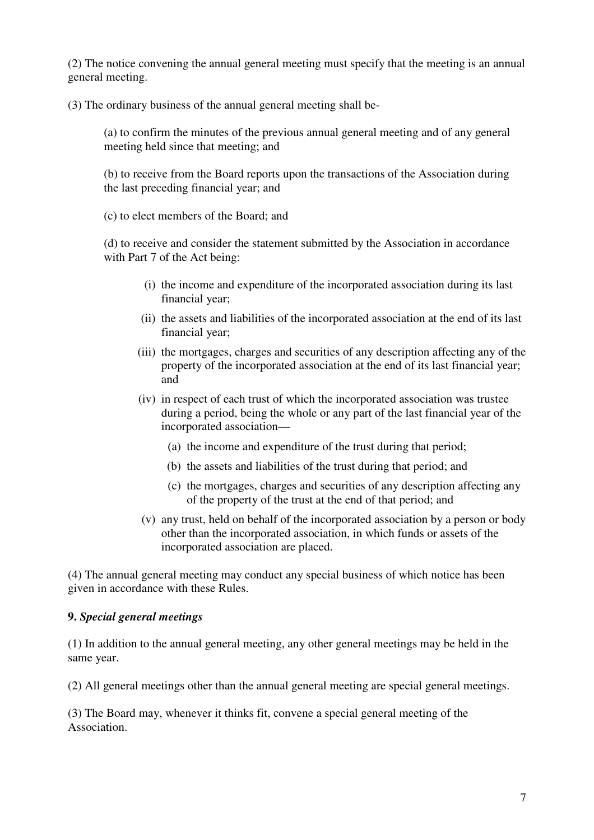(2) The notice convening the annual general meeting must specify that the meeting is an annual general meeting.

(3) The ordinary business of the annual general meeting shall be-

(a) to confirm the minutes of the previous annual general meeting and of any general meeting held since that meeting; and

(b) to receive from the Board reports upon the transactions of the Association during the last preceding financial year; and

(c) to elect members of the Board; and

(d) to receive and consider the statement submitted by the Association in accordance with Part 7 of the Act being:

- (i) the income and expenditure of the incorporated association during its last financial year;
- (ii) the assets and liabilities of the incorporated association at the end of its last financial year;
- (iii) the mortgages, charges and securities of any description affecting any of the property of the incorporated association at the end of its last financial year; and
- (iv) in respect of each trust of which the incorporated association was trustee during a period, being the whole or any part of the last financial year of the incorporated association—
	- (a) the income and expenditure of the trust during that period;
	- (b) the assets and liabilities of the trust during that period; and
	- (c) the mortgages, charges and securities of any description affecting any of the property of the trust at the end of that period; and
- (v) any trust, held on behalf of the incorporated association by a person or body other than the incorporated association, in which funds or assets of the incorporated association are placed.

(4) The annual general meeting may conduct any special business of which notice has been given in accordance with these Rules.

#### **9.** *Special general meetings*

(1) In addition to the annual general meeting, any other general meetings may be held in the same year.

(2) All general meetings other than the annual general meeting are special general meetings.

(3) The Board may, whenever it thinks fit, convene a special general meeting of the Association.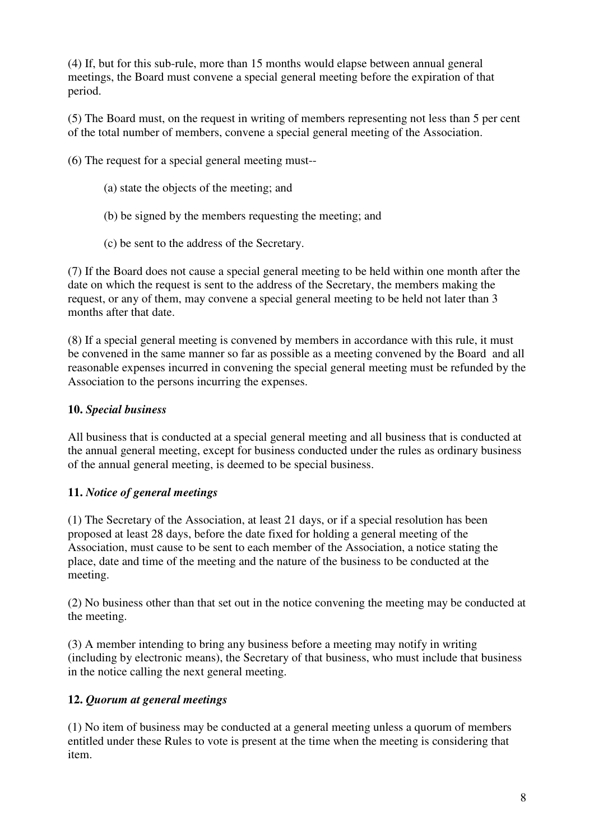(4) If, but for this sub-rule, more than 15 months would elapse between annual general meetings, the Board must convene a special general meeting before the expiration of that period.

(5) The Board must, on the request in writing of members representing not less than 5 per cent of the total number of members, convene a special general meeting of the Association.

(6) The request for a special general meeting must--

- (a) state the objects of the meeting; and
- (b) be signed by the members requesting the meeting; and
- (c) be sent to the address of the Secretary.

(7) If the Board does not cause a special general meeting to be held within one month after the date on which the request is sent to the address of the Secretary, the members making the request, or any of them, may convene a special general meeting to be held not later than 3 months after that date.

(8) If a special general meeting is convened by members in accordance with this rule, it must be convened in the same manner so far as possible as a meeting convened by the Board and all reasonable expenses incurred in convening the special general meeting must be refunded by the Association to the persons incurring the expenses.

### **10.** *Special business*

All business that is conducted at a special general meeting and all business that is conducted at the annual general meeting, except for business conducted under the rules as ordinary business of the annual general meeting, is deemed to be special business.

#### **11.** *Notice of general meetings*

(1) The Secretary of the Association, at least 21 days, or if a special resolution has been proposed at least 28 days, before the date fixed for holding a general meeting of the Association, must cause to be sent to each member of the Association, a notice stating the place, date and time of the meeting and the nature of the business to be conducted at the meeting.

(2) No business other than that set out in the notice convening the meeting may be conducted at the meeting.

(3) A member intending to bring any business before a meeting may notify in writing (including by electronic means), the Secretary of that business, who must include that business in the notice calling the next general meeting.

## **12.** *Quorum at general meetings*

(1) No item of business may be conducted at a general meeting unless a quorum of members entitled under these Rules to vote is present at the time when the meeting is considering that item.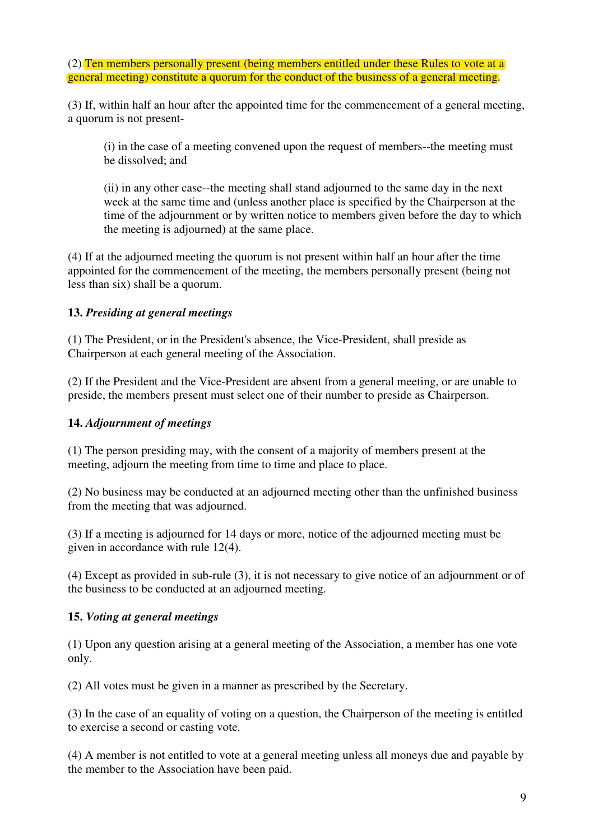(2) Ten members personally present (being members entitled under these Rules to vote at a general meeting) constitute a quorum for the conduct of the business of a general meeting.

(3) If, within half an hour after the appointed time for the commencement of a general meeting, a quorum is not present-

(i) in the case of a meeting convened upon the request of members--the meeting must be dissolved; and

(ii) in any other case--the meeting shall stand adjourned to the same day in the next week at the same time and (unless another place is specified by the Chairperson at the time of the adjournment or by written notice to members given before the day to which the meeting is adjourned) at the same place.

(4) If at the adjourned meeting the quorum is not present within half an hour after the time appointed for the commencement of the meeting, the members personally present (being not less than six) shall be a quorum.

#### **13.** *Presiding at general meetings*

(1) The President, or in the President's absence, the Vice-President, shall preside as Chairperson at each general meeting of the Association.

(2) If the President and the Vice-President are absent from a general meeting, or are unable to preside, the members present must select one of their number to preside as Chairperson.

#### **14.** *Adjournment of meetings*

(1) The person presiding may, with the consent of a majority of members present at the meeting, adjourn the meeting from time to time and place to place.

(2) No business may be conducted at an adjourned meeting other than the unfinished business from the meeting that was adjourned.

(3) If a meeting is adjourned for 14 days or more, notice of the adjourned meeting must be given in accordance with rule 12(4).

(4) Except as provided in sub-rule (3), it is not necessary to give notice of an adjournment or of the business to be conducted at an adjourned meeting.

#### **15.** *Voting at general meetings*

(1) Upon any question arising at a general meeting of the Association, a member has one vote only.

(2) All votes must be given in a manner as prescribed by the Secretary.

(3) In the case of an equality of voting on a question, the Chairperson of the meeting is entitled to exercise a second or casting vote.

(4) A member is not entitled to vote at a general meeting unless all moneys due and payable by the member to the Association have been paid.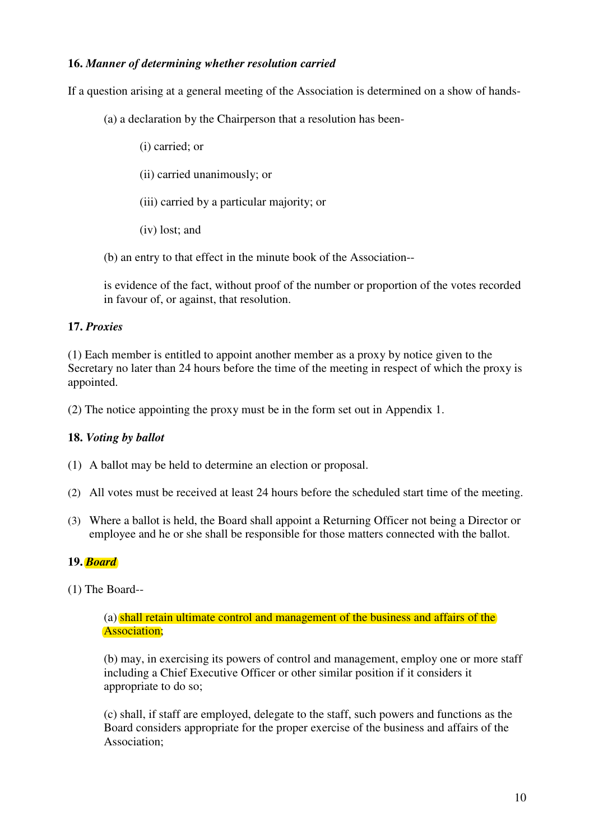#### **16.** *Manner of determining whether resolution carried*

If a question arising at a general meeting of the Association is determined on a show of hands-

- (a) a declaration by the Chairperson that a resolution has been-
	- (i) carried; or
	- (ii) carried unanimously; or
	- (iii) carried by a particular majority; or
	- (iv) lost; and
- (b) an entry to that effect in the minute book of the Association--

is evidence of the fact, without proof of the number or proportion of the votes recorded in favour of, or against, that resolution.

#### **17.** *Proxies*

(1) Each member is entitled to appoint another member as a proxy by notice given to the Secretary no later than 24 hours before the time of the meeting in respect of which the proxy is appointed.

(2) The notice appointing the proxy must be in the form set out in Appendix 1.

#### **18.** *Voting by ballot*

- (1) A ballot may be held to determine an election or proposal.
- (2) All votes must be received at least 24 hours before the scheduled start time of the meeting.
- (3) Where a ballot is held, the Board shall appoint a Returning Officer not being a Director or employee and he or she shall be responsible for those matters connected with the ballot.

#### **19.** *Board*

(1) The Board--

#### (a) shall retain ultimate control and management of the business and affairs of the Association;

(b) may, in exercising its powers of control and management, employ one or more staff including a Chief Executive Officer or other similar position if it considers it appropriate to do so;

(c) shall, if staff are employed, delegate to the staff, such powers and functions as the Board considers appropriate for the proper exercise of the business and affairs of the Association;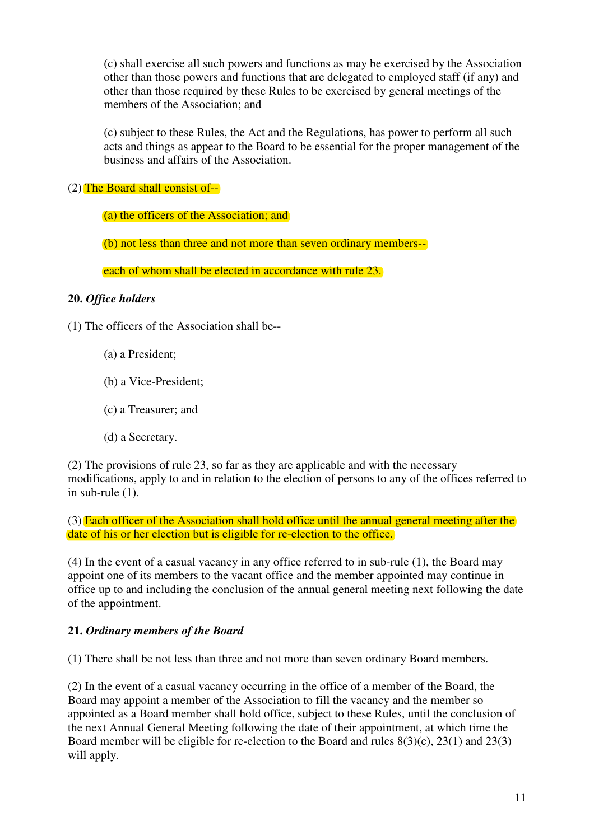(c) shall exercise all such powers and functions as may be exercised by the Association other than those powers and functions that are delegated to employed staff (if any) and other than those required by these Rules to be exercised by general meetings of the members of the Association; and

(c) subject to these Rules, the Act and the Regulations, has power to perform all such acts and things as appear to the Board to be essential for the proper management of the business and affairs of the Association.

(2) The Board shall consist of--

(a) the officers of the Association; and

(b) not less than three and not more than seven ordinary members--

each of whom shall be elected in accordance with rule 23.

#### **20.** *Office holders*

- (1) The officers of the Association shall be--
	- (a) a President;
	- (b) a Vice-President;
	- (c) a Treasurer; and
	- (d) a Secretary.

(2) The provisions of rule 23, so far as they are applicable and with the necessary modifications, apply to and in relation to the election of persons to any of the offices referred to in sub-rule (1).

(3) Each officer of the Association shall hold office until the annual general meeting after the date of his or her election but is eligible for re-election to the office.

(4) In the event of a casual vacancy in any office referred to in sub-rule (1), the Board may appoint one of its members to the vacant office and the member appointed may continue in office up to and including the conclusion of the annual general meeting next following the date of the appointment.

## **21.** *Ordinary members of the Board*

(1) There shall be not less than three and not more than seven ordinary Board members.

(2) In the event of a casual vacancy occurring in the office of a member of the Board, the Board may appoint a member of the Association to fill the vacancy and the member so appointed as a Board member shall hold office, subject to these Rules, until the conclusion of the next Annual General Meeting following the date of their appointment, at which time the Board member will be eligible for re-election to the Board and rules  $8(3)(c)$ ,  $23(1)$  and  $23(3)$ will apply.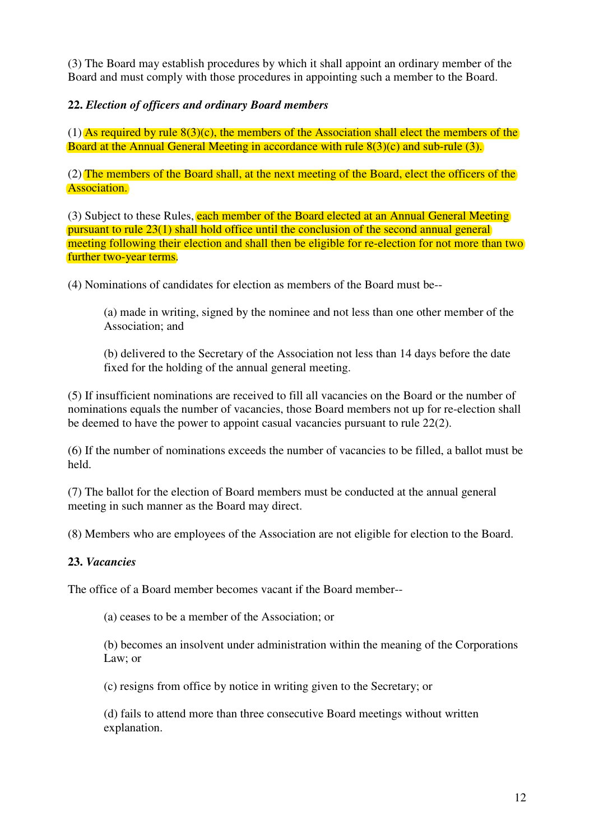(3) The Board may establish procedures by which it shall appoint an ordinary member of the Board and must comply with those procedures in appointing such a member to the Board.

**22.** *Election of officers and ordinary Board members*

(1) As required by rule  $8(3)(c)$ , the members of the Association shall elect the members of the Board at the Annual General Meeting in accordance with rule 8(3)(c) and sub-rule (3).

(2) The members of the Board shall, at the next meeting of the Board, elect the officers of the Association.

(3) Subject to these Rules, each member of the Board elected at an Annual General Meeting pursuant to rule 23(1) shall hold office until the conclusion of the second annual general meeting following their election and shall then be eligible for re-election for not more than two further two-year terms.

(4) Nominations of candidates for election as members of the Board must be--

(a) made in writing, signed by the nominee and not less than one other member of the Association; and

(b) delivered to the Secretary of the Association not less than 14 days before the date fixed for the holding of the annual general meeting.

(5) If insufficient nominations are received to fill all vacancies on the Board or the number of nominations equals the number of vacancies, those Board members not up for re-election shall be deemed to have the power to appoint casual vacancies pursuant to rule 22(2).

(6) If the number of nominations exceeds the number of vacancies to be filled, a ballot must be held.

(7) The ballot for the election of Board members must be conducted at the annual general meeting in such manner as the Board may direct.

(8) Members who are employees of the Association are not eligible for election to the Board.

#### **23.** *Vacancies*

The office of a Board member becomes vacant if the Board member--

(a) ceases to be a member of the Association; or

(b) becomes an insolvent under administration within the meaning of the Corporations Law; or

(c) resigns from office by notice in writing given to the Secretary; or

(d) fails to attend more than three consecutive Board meetings without written explanation.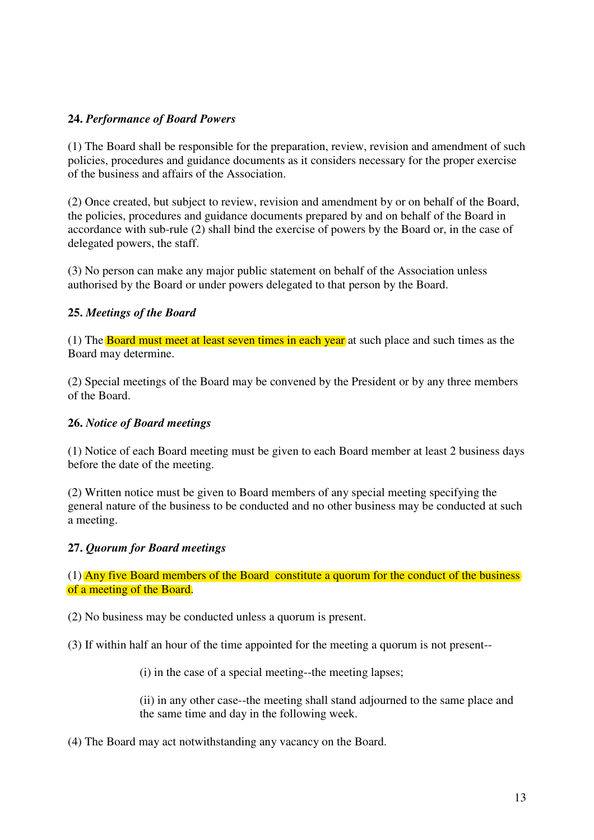#### **24.** *Performance of Board Powers*

(1) The Board shall be responsible for the preparation, review, revision and amendment of such policies, procedures and guidance documents as it considers necessary for the proper exercise of the business and affairs of the Association.

(2) Once created, but subject to review, revision and amendment by or on behalf of the Board, the policies, procedures and guidance documents prepared by and on behalf of the Board in accordance with sub-rule (2) shall bind the exercise of powers by the Board or, in the case of delegated powers, the staff.

(3) No person can make any major public statement on behalf of the Association unless authorised by the Board or under powers delegated to that person by the Board.

#### **25.** *Meetings of the Board*

(1) The **Board must meet at least seven times in each year** at such place and such times as the Board may determine.

(2) Special meetings of the Board may be convened by the President or by any three members of the Board.

#### **26.** *Notice of Board meetings*

(1) Notice of each Board meeting must be given to each Board member at least 2 business days before the date of the meeting.

(2) Written notice must be given to Board members of any special meeting specifying the general nature of the business to be conducted and no other business may be conducted at such a meeting.

#### **27.** *Quorum for Board meetings*

(1) Any five Board members of the Board constitute a quorum for the conduct of the business of a meeting of the Board.

(2) No business may be conducted unless a quorum is present.

(3) If within half an hour of the time appointed for the meeting a quorum is not present--

(i) in the case of a special meeting--the meeting lapses;

(ii) in any other case--the meeting shall stand adjourned to the same place and the same time and day in the following week.

(4) The Board may act notwithstanding any vacancy on the Board.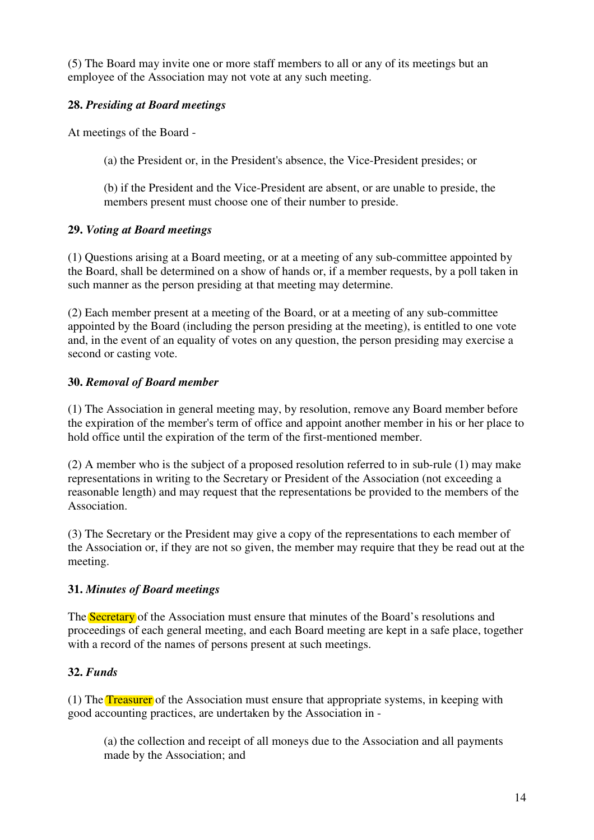(5) The Board may invite one or more staff members to all or any of its meetings but an employee of the Association may not vote at any such meeting.

## **28.** *Presiding at Board meetings*

At meetings of the Board -

(a) the President or, in the President's absence, the Vice-President presides; or

(b) if the President and the Vice-President are absent, or are unable to preside, the members present must choose one of their number to preside.

## **29.** *Voting at Board meetings*

(1) Questions arising at a Board meeting, or at a meeting of any sub-committee appointed by the Board, shall be determined on a show of hands or, if a member requests, by a poll taken in such manner as the person presiding at that meeting may determine.

(2) Each member present at a meeting of the Board, or at a meeting of any sub-committee appointed by the Board (including the person presiding at the meeting), is entitled to one vote and, in the event of an equality of votes on any question, the person presiding may exercise a second or casting vote.

## **30.** *Removal of Board member*

(1) The Association in general meeting may, by resolution, remove any Board member before the expiration of the member's term of office and appoint another member in his or her place to hold office until the expiration of the term of the first-mentioned member.

(2) A member who is the subject of a proposed resolution referred to in sub-rule (1) may make representations in writing to the Secretary or President of the Association (not exceeding a reasonable length) and may request that the representations be provided to the members of the Association.

(3) The Secretary or the President may give a copy of the representations to each member of the Association or, if they are not so given, the member may require that they be read out at the meeting.

## **31.** *Minutes of Board meetings*

The Secretary of the Association must ensure that minutes of the Board's resolutions and proceedings of each general meeting, and each Board meeting are kept in a safe place, together with a record of the names of persons present at such meetings.

## **32.** *Funds*

(1) The Treasurer of the Association must ensure that appropriate systems, in keeping with good accounting practices, are undertaken by the Association in -

(a) the collection and receipt of all moneys due to the Association and all payments made by the Association; and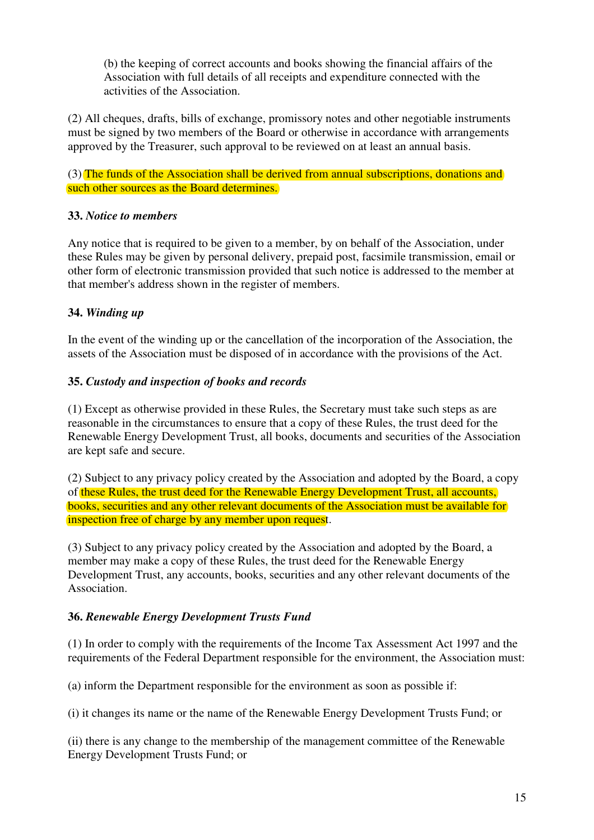(b) the keeping of correct accounts and books showing the financial affairs of the Association with full details of all receipts and expenditure connected with the activities of the Association.

(2) All cheques, drafts, bills of exchange, promissory notes and other negotiable instruments must be signed by two members of the Board or otherwise in accordance with arrangements approved by the Treasurer, such approval to be reviewed on at least an annual basis.

(3) The funds of the Association shall be derived from annual subscriptions, donations and such other sources as the Board determines.

#### **33.** *Notice to members*

Any notice that is required to be given to a member, by on behalf of the Association, under these Rules may be given by personal delivery, prepaid post, facsimile transmission, email or other form of electronic transmission provided that such notice is addressed to the member at that member's address shown in the register of members.

### **34.** *Winding up*

In the event of the winding up or the cancellation of the incorporation of the Association, the assets of the Association must be disposed of in accordance with the provisions of the Act.

#### **35.** *Custody and inspection of books and records*

(1) Except as otherwise provided in these Rules, the Secretary must take such steps as are reasonable in the circumstances to ensure that a copy of these Rules, the trust deed for the Renewable Energy Development Trust, all books, documents and securities of the Association are kept safe and secure.

(2) Subject to any privacy policy created by the Association and adopted by the Board, a copy of these Rules, the trust deed for the Renewable Energy Development Trust, all accounts, books, securities and any other relevant documents of the Association must be available for inspection free of charge by any member upon request.

(3) Subject to any privacy policy created by the Association and adopted by the Board, a member may make a copy of these Rules, the trust deed for the Renewable Energy Development Trust, any accounts, books, securities and any other relevant documents of the Association.

#### **36.** *Renewable Energy Development Trusts Fund*

(1) In order to comply with the requirements of the Income Tax Assessment Act 1997 and the requirements of the Federal Department responsible for the environment, the Association must:

(a) inform the Department responsible for the environment as soon as possible if:

(i) it changes its name or the name of the Renewable Energy Development Trusts Fund; or

(ii) there is any change to the membership of the management committee of the Renewable Energy Development Trusts Fund; or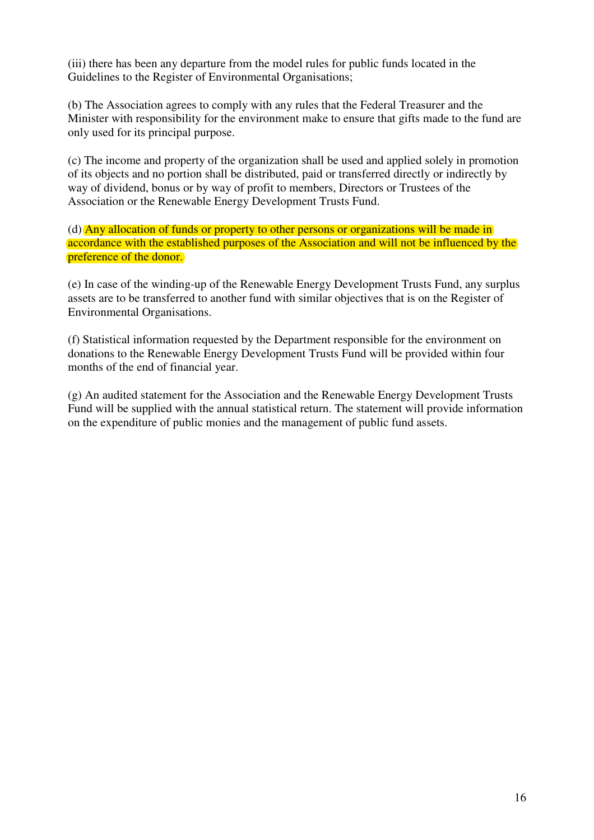(iii) there has been any departure from the model rules for public funds located in the Guidelines to the Register of Environmental Organisations;

(b) The Association agrees to comply with any rules that the Federal Treasurer and the Minister with responsibility for the environment make to ensure that gifts made to the fund are only used for its principal purpose.

(c) The income and property of the organization shall be used and applied solely in promotion of its objects and no portion shall be distributed, paid or transferred directly or indirectly by way of dividend, bonus or by way of profit to members, Directors or Trustees of the Association or the Renewable Energy Development Trusts Fund.

(d) Any allocation of funds or property to other persons or organizations will be made in accordance with the established purposes of the Association and will not be influenced by the preference of the donor.

(e) In case of the winding-up of the Renewable Energy Development Trusts Fund, any surplus assets are to be transferred to another fund with similar objectives that is on the Register of Environmental Organisations.

(f) Statistical information requested by the Department responsible for the environment on donations to the Renewable Energy Development Trusts Fund will be provided within four months of the end of financial year.

(g) An audited statement for the Association and the Renewable Energy Development Trusts Fund will be supplied with the annual statistical return. The statement will provide information on the expenditure of public monies and the management of public fund assets.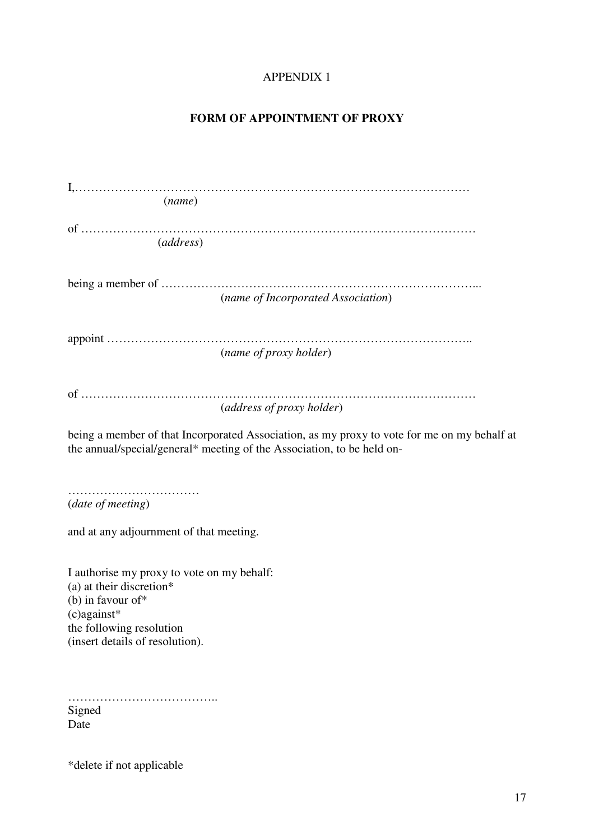## APPENDIX 1

#### **FORM OF APPOINTMENT OF PROXY**

| (name)    |                                    |
|-----------|------------------------------------|
|           |                                    |
| (address) |                                    |
|           |                                    |
|           |                                    |
|           | (name of Incorporated Association) |
|           |                                    |
|           |                                    |
|           | (name of proxy holder)             |
|           |                                    |
|           |                                    |
|           | (address of proxy holder)          |

being a member of that Incorporated Association, as my proxy to vote for me on my behalf at the annual/special/general\* meeting of the Association, to be held on-

…………………………… (*date of meeting*)

and at any adjournment of that meeting.

I authorise my proxy to vote on my behalf: (a) at their discretion\* (b) in favour of\* (c)against\* the following resolution (insert details of resolution).

……………………………….. Signed Date

\*delete if not applicable